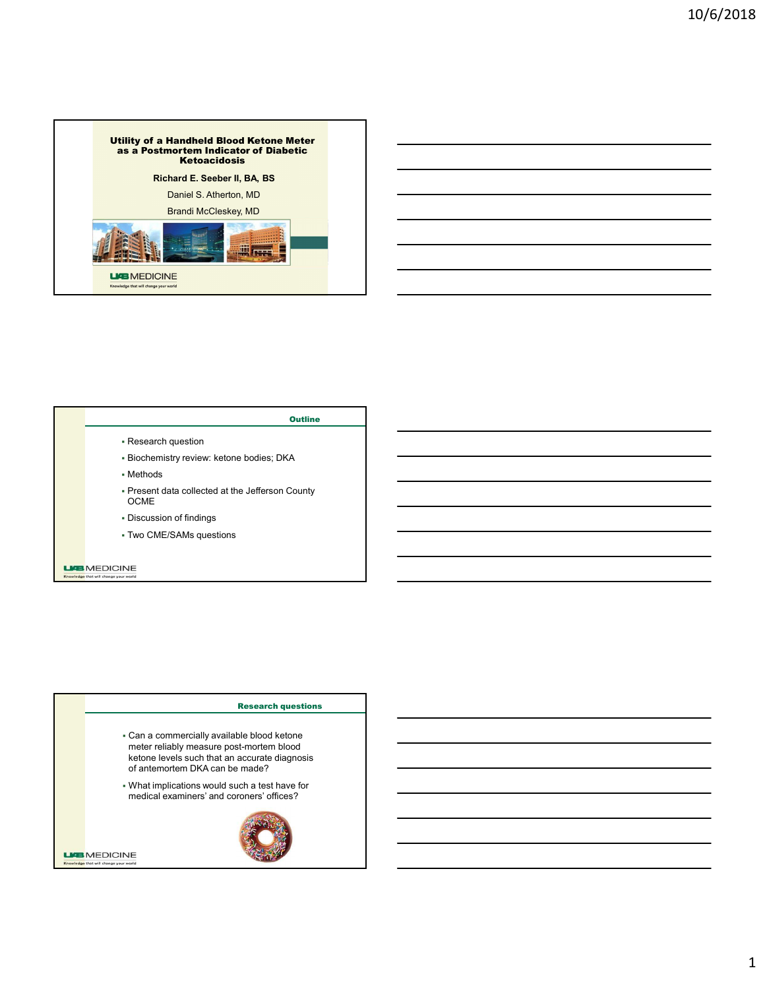



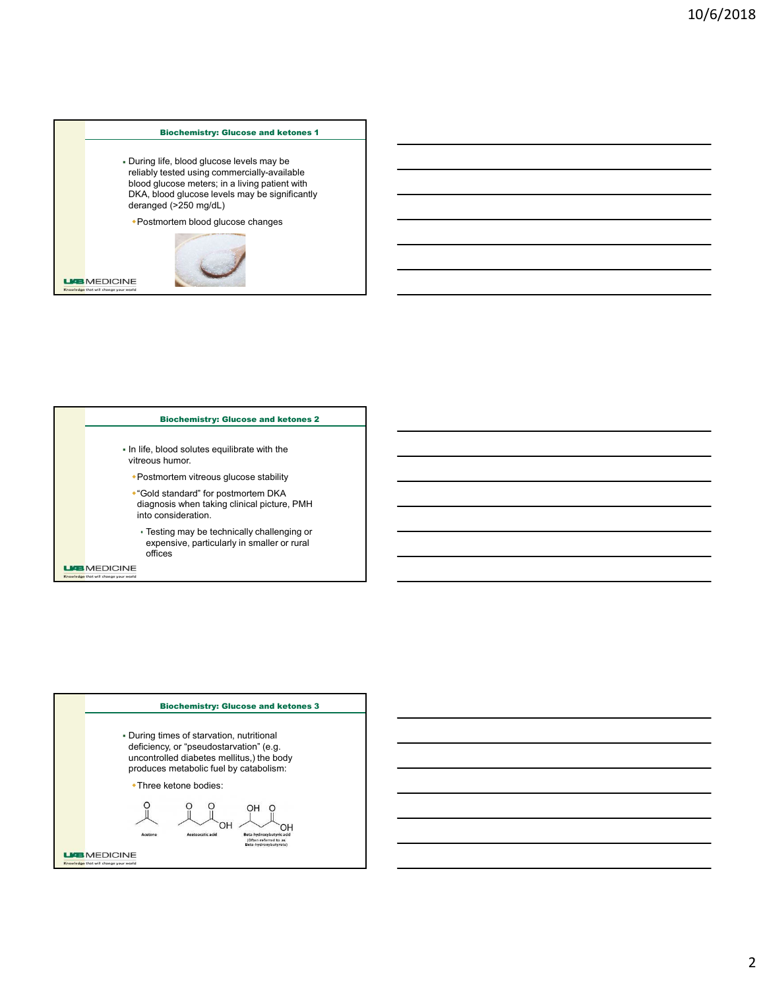Biochemistry: Glucose and ketones 1<br>
Ife, blood glucose levels may be<br>
life, blood glucose levels may be<br>
lucose meters; in a living patient with<br>
ood glucose levels may be significantly<br>
de (>250 mg/dL)<br>
ondem blood dluco During life, blood glucose levels may be reliably tested using commercially-available blood glucose meters; in a living patient with DKA, blood glucose levels may be significantly<br>deranged (>250 mg/dL) Biochemistry: Glucose and ketones 1<br>During life, blood glucose levels may be<br>elablity ested using conmetrality-available<br>blood glucose neters, in a ilving patient with<br>DKA, blood glucose chees may be significantly<br>deranged



Electromistry: Glucose and ketones 3<br>
If e, blood glucose levels may be<br>
tested using commercially-available<br>
torsoe metrics: in a living pullerin with<br>
cod glucose levels may be seprificantly<br>
code pullering and glucose c  $\blacksquare$  In life, blood solutes equilibrate with the view of the bood glucose levels may be<br>
During life, blood glucose heres in a living palemt with<br>
block, blood glucose meets in a living palemt with<br>
eFrequence of the postmortem block glucose changes<br>
From the postmortem and glucose medias; in a living pairent with<br>cA, blood glucose invels may be significantly<br>ranged (=250 mg/dL)<br>Postmortem thood glucose changes<br>tife, blood solutes equilibrate with the<br>clinical picture, PMH Postmortem CHO XA, blood gluocose ievels may be significantly<br>
aranged  $\leq$ 250 mg/d.l<br>
Postmortem blood glucose changes<br>
<br>
Eliochemistry: Glucose and ketones 2<br>
Iffe, blood solutes equilibrate with the<br>
reconsist lumor.<br>
Postmortem witr expensive, particularly in smaller or rural offices **Biochemistry: Glucose and ketones 2**<br>
Bood soluties equilibrate with the<br>
htumor.<br>
htumor.<br>
htumor.<br>
based with the position term DKA<br>
based with the position of position<br>
bosed bracking the position of the position of th More blood solutions equilibrate with the<br>
In line (b, blood solutions equilibrate with the<br>
-Positron defined and the constrained more and the constrained profile<br>
degrees when taking circularly challenging or<br>
the consid

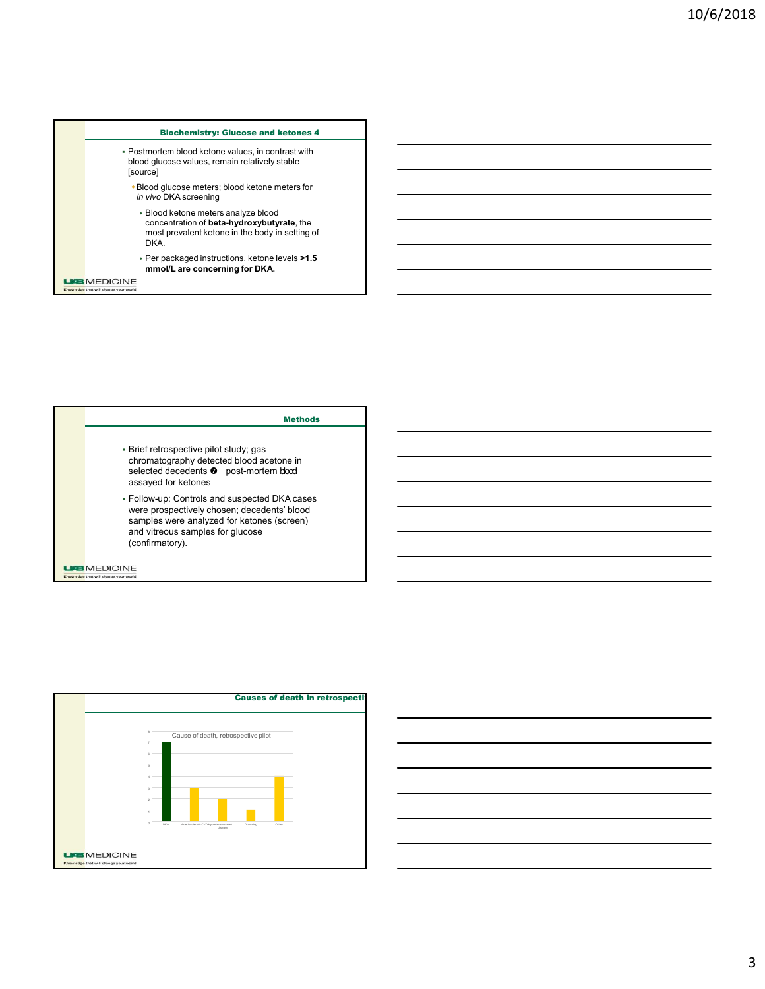





# **Causes of death in retrospective**

3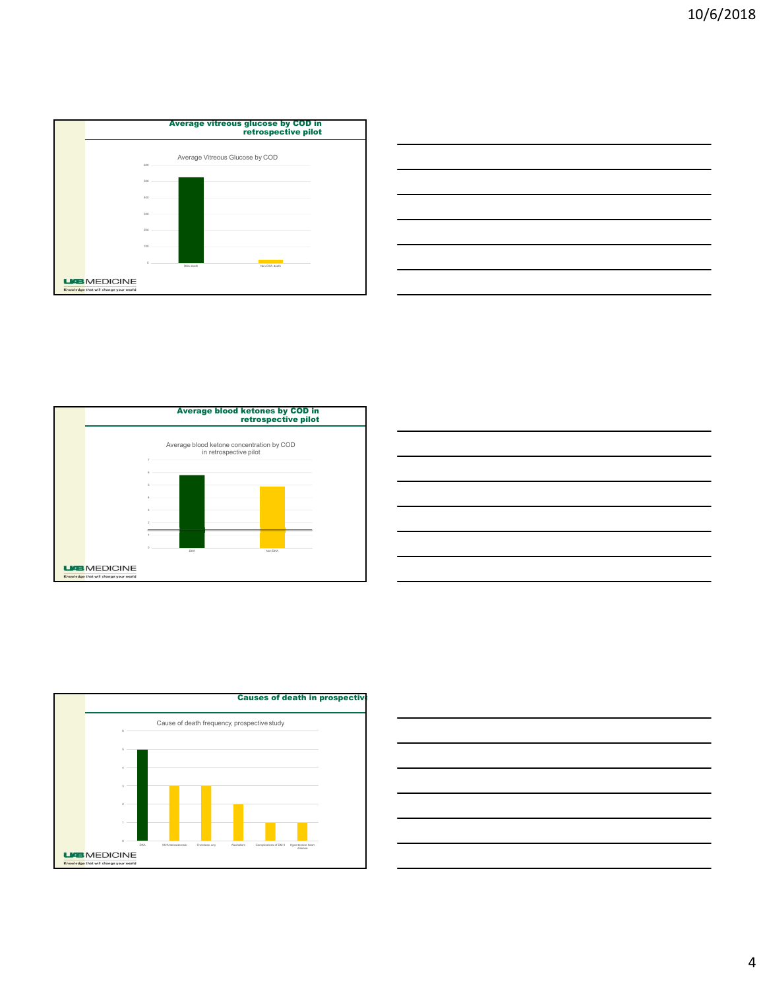









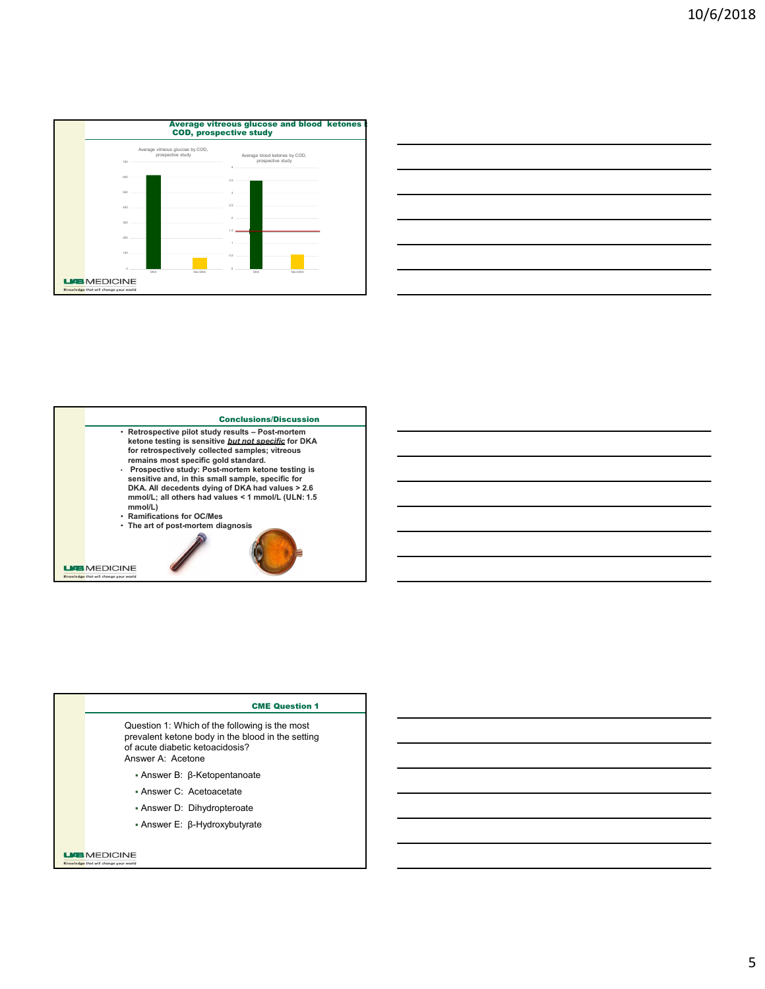

|                                                                                                            | 10/ |
|------------------------------------------------------------------------------------------------------------|-----|
|                                                                                                            |     |
|                                                                                                            |     |
|                                                                                                            |     |
|                                                                                                            |     |
|                                                                                                            |     |
|                                                                                                            |     |
|                                                                                                            |     |
|                                                                                                            |     |
|                                                                                                            |     |
|                                                                                                            |     |
|                                                                                                            |     |
|                                                                                                            |     |
|                                                                                                            |     |
|                                                                                                            |     |
|                                                                                                            |     |
|                                                                                                            |     |
| Non-DKA                                                                                                    |     |
| us glucose and blood  ketones l<br>tive study<br>Average blood ketones by COD,<br>prospective study<br>DKA |     |